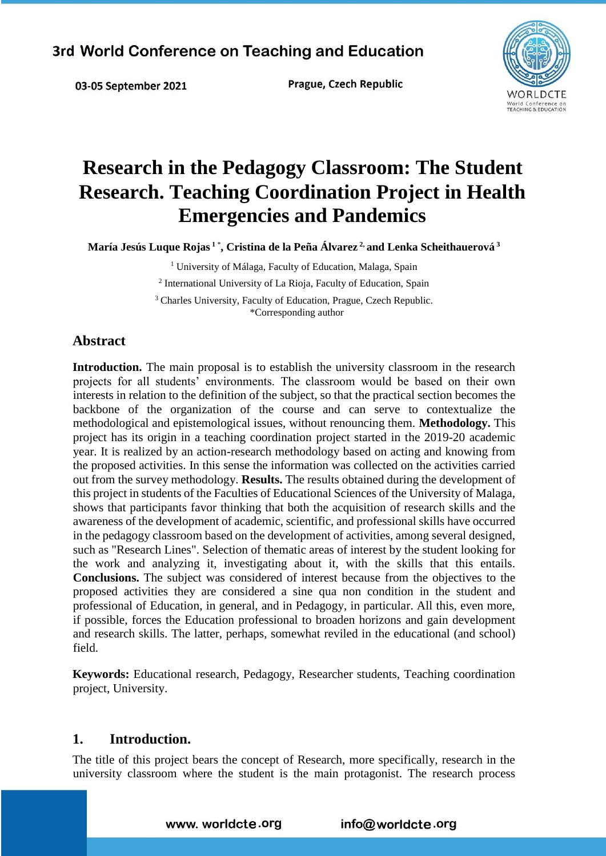03-05 September 2021

Prague, Czech Republic



# **Research in the Pedagogy Classroom: The Student Research. Teaching Coordination Project in Health Emergencies and Pandemics**

**María Jesús Luque Rojas <sup>1</sup>**\* **, Cristina de la Peña Álvarez 2, and Lenka Scheithauerová <sup>3</sup>** 

<sup>1</sup> University of Málaga, Faculty of Education, Malaga, Spain 2 International University of La Rioja, Faculty of Education, Spain <sup>3</sup> Charles University, Faculty of Education, Prague, Czech Republic.

\*Corresponding author

## **Abstract**

**Introduction.** The main proposal is to establish the university classroom in the research projects for all students' environments. The classroom would be based on their own interests in relation to the definition of the subject, so that the practical section becomes the backbone of the organization of the course and can serve to contextualize the methodological and epistemological issues, without renouncing them. **Methodology.** This project has its origin in a teaching coordination project started in the 2019-20 academic year. It is realized by an action-research methodology based on acting and knowing from the proposed activities. In this sense the information was collected on the activities carried out from the survey methodology. **Results.** The results obtained during the development of this project in students of the Faculties of Educational Sciences of the University of Malaga, shows that participants favor thinking that both the acquisition of research skills and the awareness of the development of academic, scientific, and professional skills have occurred in the pedagogy classroom based on the development of activities, among several designed, such as "Research Lines". Selection of thematic areas of interest by the student looking for the work and analyzing it, investigating about it, with the skills that this entails. **Conclusions.** The subject was considered of interest because from the objectives to the proposed activities they are considered a sine qua non condition in the student and professional of Education, in general, and in Pedagogy, in particular. All this, even more, if possible, forces the Education professional to broaden horizons and gain development and research skills. The latter, perhaps, somewhat reviled in the educational (and school) field.

**Keywords:** Educational research, Pedagogy, Researcher students, Teaching coordination project, University.

#### **1. Introduction.**

The title of this project bears the concept of Research, more specifically, research in the university classroom where the student is the main protagonist. The research process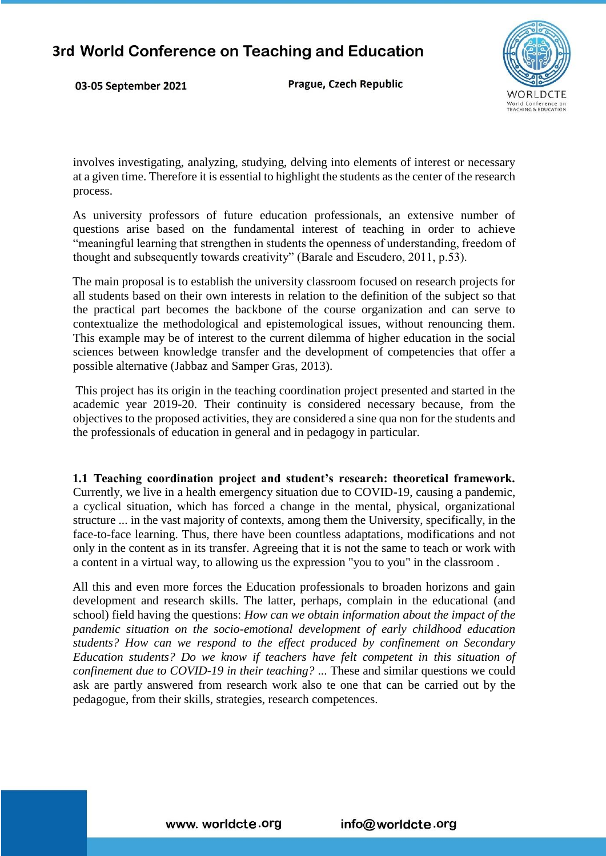03-05 September 2021

Prague, Czech Republic



involves investigating, analyzing, studying, delving into elements of interest or necessary at a given time. Therefore it is essential to highlight the students as the center of the research process.

As university professors of future education professionals, an extensive number of questions arise based on the fundamental interest of teaching in order to achieve "meaningful learning that strengthen in students the openness of understanding, freedom of thought and subsequently towards creativity" (Barale and Escudero, 2011, p.53).

The main proposal is to establish the university classroom focused on research projects for all students based on their own interests in relation to the definition of the subject so that the practical part becomes the backbone of the course organization and can serve to contextualize the methodological and epistemological issues, without renouncing them. This example may be of interest to the current dilemma of higher education in the social sciences between knowledge transfer and the development of competencies that offer a possible alternative (Jabbaz and Samper Gras, 2013).

This project has its origin in the teaching coordination project presented and started in the academic year 2019-20. Their continuity is considered necessary because, from the objectives to the proposed activities, they are considered a sine qua non for the students and the professionals of education in general and in pedagogy in particular.

**1.1 Teaching coordination project and student's research: theoretical framework.**  Currently, we live in a health emergency situation due to COVID-19, causing a pandemic, a cyclical situation, which has forced a change in the mental, physical, organizational structure ... in the vast majority of contexts, among them the University, specifically, in the face-to-face learning. Thus, there have been countless adaptations, modifications and not only in the content as in its transfer. Agreeing that it is not the same to teach or work with a content in a virtual way, to allowing us the expression "you to you" in the classroom .

All this and even more forces the Education professionals to broaden horizons and gain development and research skills. The latter, perhaps, complain in the educational (and school) field having the questions: *How can we obtain information about the impact of the pandemic situation on the socio-emotional development of early childhood education students? How can we respond to the effect produced by confinement on Secondary Education students? Do we know if teachers have felt competent in this situation of confinement due to COVID-19 in their teaching?* ... These and similar questions we could ask are partly answered from research work also te one that can be carried out by the pedagogue, from their skills, strategies, research competences.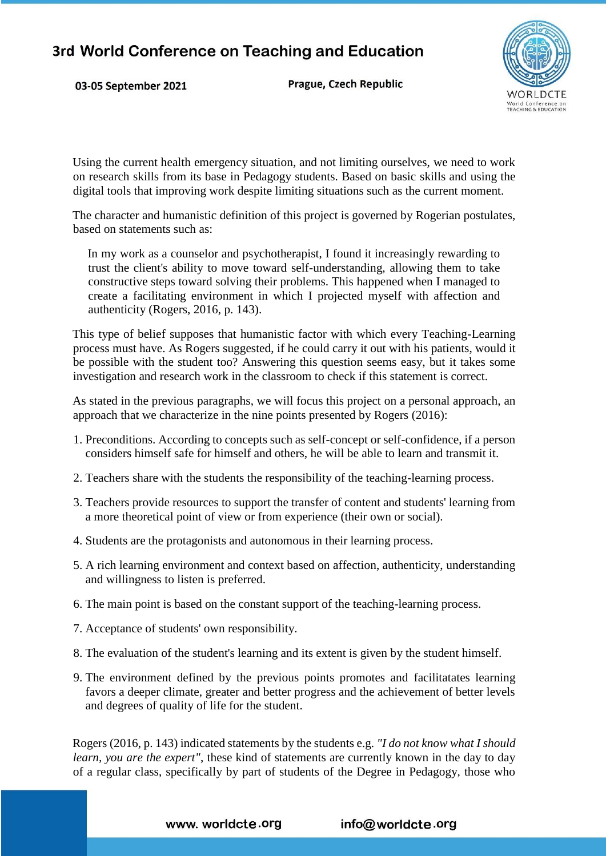03-05 September 2021

Prague, Czech Republic



Using the current health emergency situation, and not limiting ourselves, we need to work on research skills from its base in Pedagogy students. Based on basic skills and using the digital tools that improving work despite limiting situations such as the current moment.

The character and humanistic definition of this project is governed by Rogerian postulates, based on statements such as:

In my work as a counselor and psychotherapist, I found it increasingly rewarding to trust the client's ability to move toward self-understanding, allowing them to take constructive steps toward solving their problems. This happened when I managed to create a facilitating environment in which I projected myself with affection and authenticity (Rogers, 2016, p. 143).

This type of belief supposes that humanistic factor with which every Teaching-Learning process must have. As Rogers suggested, if he could carry it out with his patients, would it be possible with the student too? Answering this question seems easy, but it takes some investigation and research work in the classroom to check if this statement is correct.

As stated in the previous paragraphs, we will focus this project on a personal approach, an approach that we characterize in the nine points presented by Rogers (2016):

- 1. Preconditions. According to concepts such as self-concept or self-confidence, if a person considers himself safe for himself and others, he will be able to learn and transmit it.
- 2. Teachers share with the students the responsibility of the teaching-learning process.
- 3. Teachers provide resources to support the transfer of content and students' learning from a more theoretical point of view or from experience (their own or social).
- 4. Students are the protagonists and autonomous in their learning process.
- 5. A rich learning environment and context based on affection, authenticity, understanding and willingness to listen is preferred.
- 6. The main point is based on the constant support of the teaching-learning process.
- 7. Acceptance of students' own responsibility.
- 8. The evaluation of the student's learning and its extent is given by the student himself.
- 9. The environment defined by the previous points promotes and facilitatates learning favors a deeper climate, greater and better progress and the achievement of better levels and degrees of quality of life for the student.

Rogers (2016, p. 143) indicated statements by the students e.g. *"I do not know what I should learn, you are the expert"*, these kind of statements are currently known in the day to day of a regular class, specifically by part of students of the Degree in Pedagogy, those who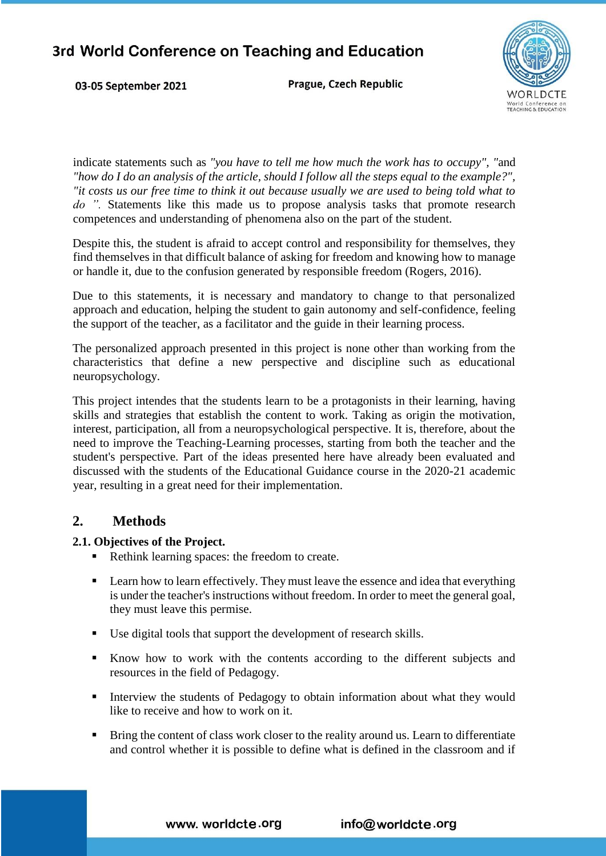03-05 September 2021

Prague, Czech Republic



indicate statements such as *"you have to tell me how much the work has to occupy", "*and *"how do I do an analysis of the article, should I follow all the steps equal to the example?", "it costs us our free time to think it out because usually we are used to being told what to do ".* Statements like this made us to propose analysis tasks that promote research competences and understanding of phenomena also on the part of the student.

Despite this, the student is afraid to accept control and responsibility for themselves, they find themselves in that difficult balance of asking for freedom and knowing how to manage or handle it, due to the confusion generated by responsible freedom (Rogers, 2016).

Due to this statements, it is necessary and mandatory to change to that personalized approach and education, helping the student to gain autonomy and self-confidence, feeling the support of the teacher, as a facilitator and the guide in their learning process.

The personalized approach presented in this project is none other than working from the characteristics that define a new perspective and discipline such as educational neuropsychology.

This project intendes that the students learn to be a protagonists in their learning, having skills and strategies that establish the content to work. Taking as origin the motivation, interest, participation, all from a neuropsychological perspective. It is, therefore, about the need to improve the Teaching-Learning processes, starting from both the teacher and the student's perspective. Part of the ideas presented here have already been evaluated and discussed with the students of the Educational Guidance course in the 2020-21 academic year, resulting in a great need for their implementation.

## **2. Methods**

#### **2.1. Objectives of the Project.**

- Rethink learning spaces: the freedom to create.
- **Example 1** Learn how to learn effectively. They must leave the essence and idea that everything is under the teacher's instructions without freedom. In order to meet the general goal, they must leave this permise.
- Use digital tools that support the development of research skills.
- Know how to work with the contents according to the different subjects and resources in the field of Pedagogy.
- Interview the students of Pedagogy to obtain information about what they would like to receive and how to work on it.
- **Bring the content of class work closer to the reality around us. Learn to differentiate** and control whether it is possible to define what is defined in the classroom and if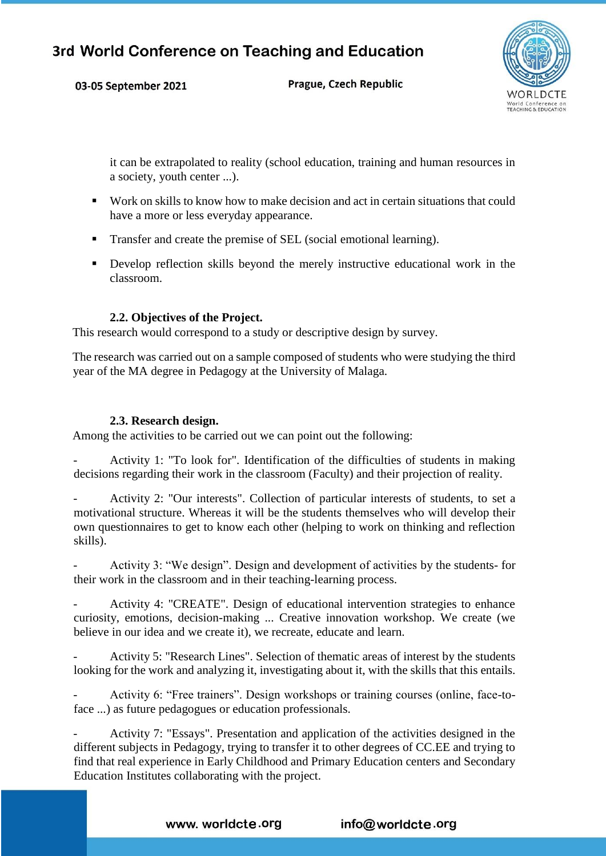03-05 September 2021

Prague, Czech Republic



it can be extrapolated to reality (school education, training and human resources in a society, youth center ...).

- Work on skills to know how to make decision and act in certain situations that could have a more or less everyday appearance.
- Transfer and create the premise of SEL (social emotional learning).
- Develop reflection skills beyond the merely instructive educational work in the classroom.

#### **2.2. Objectives of the Project.**

This research would correspond to a study or descriptive design by survey.

The research was carried out on a sample composed of students who were studying the third year of the MA degree in Pedagogy at the University of Malaga.

#### **2.3. Research design.**

Among the activities to be carried out we can point out the following:

- Activity 1: "To look for". Identification of the difficulties of students in making decisions regarding their work in the classroom (Faculty) and their projection of reality.

Activity 2: "Our interests". Collection of particular interests of students, to set a motivational structure. Whereas it will be the students themselves who will develop their own questionnaires to get to know each other (helping to work on thinking and reflection skills).

Activity 3: "We design". Design and development of activities by the students- for their work in the classroom and in their teaching-learning process.

Activity 4: "CREATE". Design of educational intervention strategies to enhance curiosity, emotions, decision-making ... Creative innovation workshop. We create (we believe in our idea and we create it), we recreate, educate and learn.

Activity 5: "Research Lines". Selection of thematic areas of interest by the students looking for the work and analyzing it, investigating about it, with the skills that this entails.

- Activity 6: "Free trainers". Design workshops or training courses (online, face-toface ...) as future pedagogues or education professionals.

Activity 7: "Essays". Presentation and application of the activities designed in the different subjects in Pedagogy, trying to transfer it to other degrees of CC.EE and trying to find that real experience in Early Childhood and Primary Education centers and Secondary Education Institutes collaborating with the project.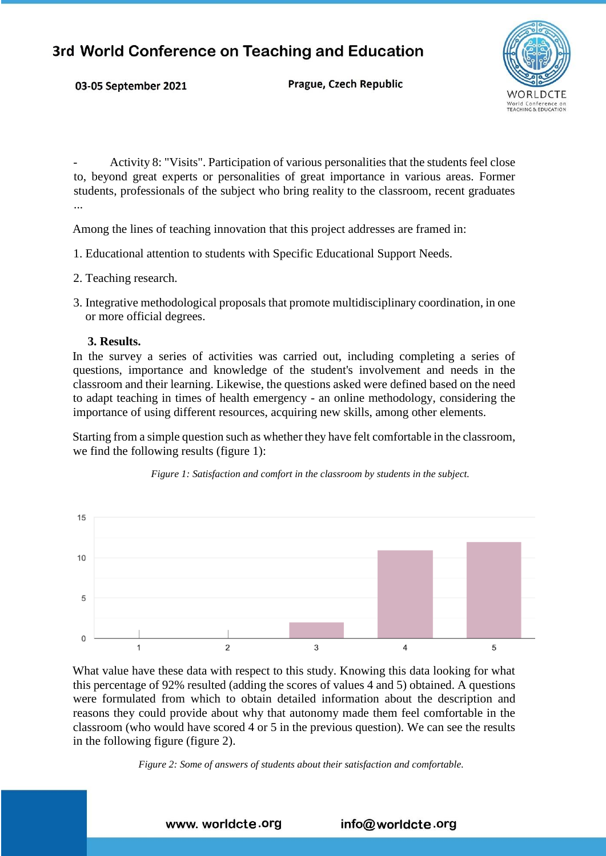Prague, Czech Republic



- Activity 8: "Visits". Participation of various personalities that the students feel close to, beyond great experts or personalities of great importance in various areas. Former students, professionals of the subject who bring reality to the classroom, recent graduates ...

Among the lines of teaching innovation that this project addresses are framed in:

- 1. Educational attention to students with Specific Educational Support Needs.
- 2. Teaching research.

03-05 September 2021

3. Integrative methodological proposals that promote multidisciplinary coordination, in one or more official degrees.

#### **3. Results.**

In the survey a series of activities was carried out, including completing a series of questions, importance and knowledge of the student's involvement and needs in the classroom and their learning. Likewise, the questions asked were defined based on the need to adapt teaching in times of health emergency - an online methodology, considering the importance of using different resources, acquiring new skills, among other elements.

Starting from a simple question such as whether they have felt comfortable in the classroom, we find the following results (figure 1):





What value have these data with respect to this study. Knowing this data looking for what this percentage of 92% resulted (adding the scores of values 4 and 5) obtained. A questions were formulated from which to obtain detailed information about the description and reasons they could provide about why that autonomy made them feel comfortable in the classroom (who would have scored 4 or 5 in the previous question). We can see the results in the following figure (figure 2).

*Figure 2: Some of answers of students about their satisfaction and comfortable.* 

www. worldcte.org info@worldcte.org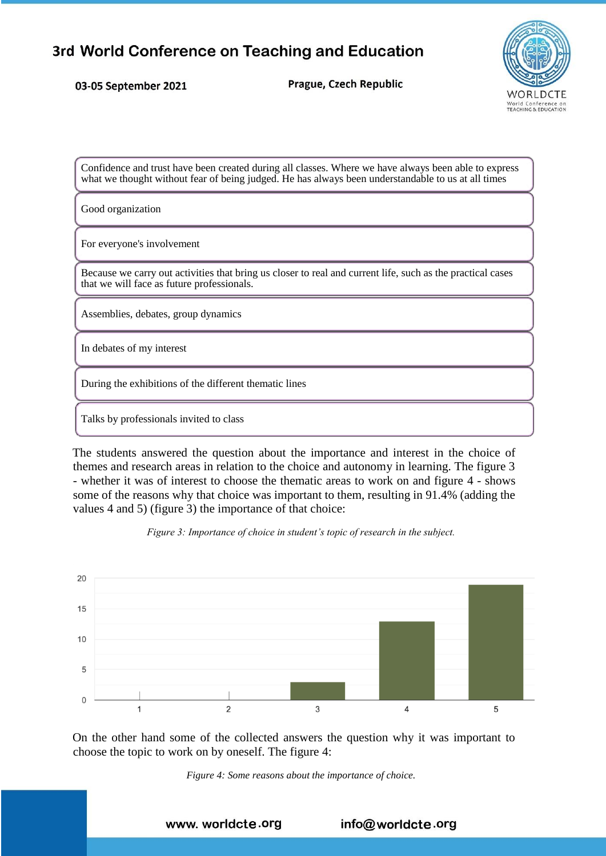03-05 September 2021

Prague, Czech Republic



Confidence and trust have been created during all classes. Where we have always been able to express what we thought without fear of being judged. He has always been understandable to us at all times

Good organization

For everyone's involvement

Because we carry out activities that bring us closer to real and current life, such as the practical cases that we will face as future professionals.

Assemblies, debates, group dynamics

In debates of my interest

During the exhibitions of the different thematic lines

Talks by professionals invited to class

The students answered the question about the importance and interest in the choice of themes and research areas in relation to the choice and autonomy in learning. The figure 3 - whether it was of interest to choose the thematic areas to work on and figure 4 - shows some of the reasons why that choice was important to them, resulting in 91.4% (adding the values 4 and 5) (figure 3) the importance of that choice:



*Figure 3: Importance of choice in student's topic of research in the subject.* 

On the other hand some of the collected answers the question why it was important to choose the topic to work on by oneself. The figure 4:



www. worldcte.org info@worldcte.org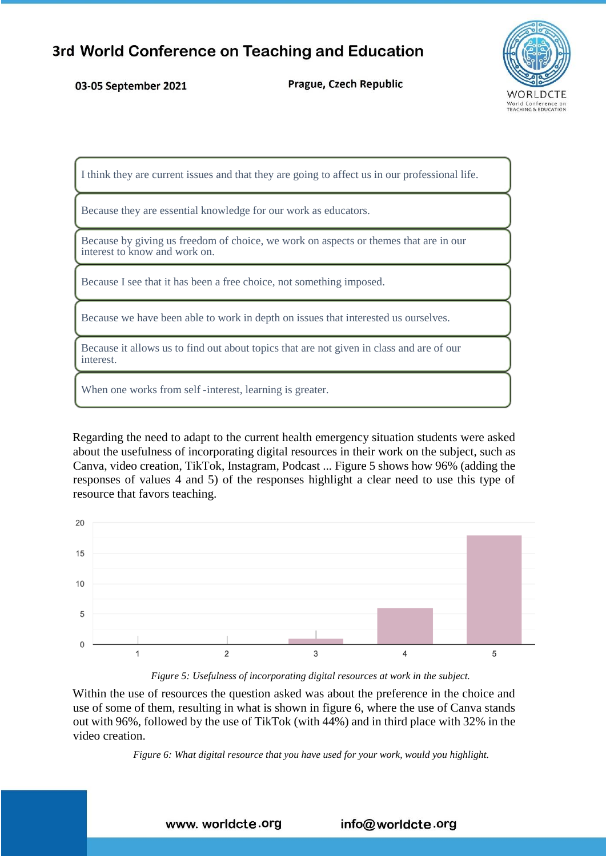#### 03-05 September 2021

Prague, Czech Republic



I think they are current issues and that they are going to affect us in our professional life.

Because they are essential knowledge for our work as educators.

Because by giving us freedom of choice, we work on aspects or themes that are in our interest to know and work on.

Because I see that it has been a free choice, not something imposed.

Because we have been able to work in depth on issues that interested us ourselves.

Because it allows us to find out about topics that are not given in class and are of our interest.

When one works from self -interest, learning is greater.

Regarding the need to adapt to the current health emergency situation students were asked about the usefulness of incorporating digital resources in their work on the subject, such as Canva, video creation, TikTok, Instagram, Podcast ... Figure 5 shows how 96% (adding the responses of values 4 and 5) of the responses highlight a clear need to use this type of resource that favors teaching.



*Figure 5: Usefulness of incorporating digital resources at work in the subject.*

Within the use of resources the question asked was about the preference in the choice and use of some of them, resulting in what is shown in figure 6, where the use of Canva stands out with 96%, followed by the use of TikTok (with 44%) and in third place with 32% in the video creation.

*Figure 6: What digital resource that you have used for your work, would you highlight.*

#### www. worldcte.org info@worldcte.org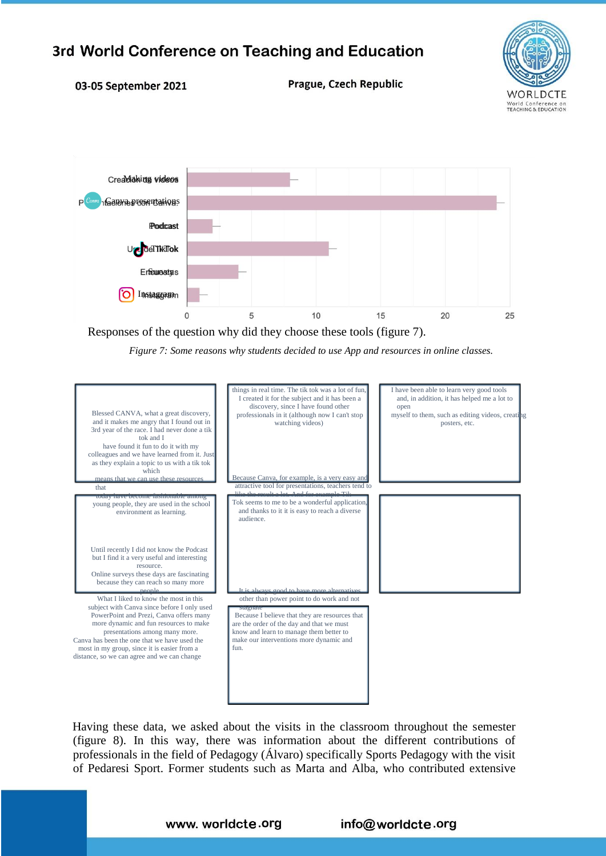

#### 03-05 September 2021

Prague, Czech Republic



Responses of the question why did they choose these tools (figure 7).

*Figure 7: Some reasons why students decided to use App and resources in online classes.*



Having these data, we asked about the visits in the classroom throughout the semester (figure 8). In this way, there was information about the different contributions of professionals in the field of Pedagogy (Álvaro) specifically Sports Pedagogy with the visit of Pedaresi Sport. Former students such as Marta and Alba, who contributed extensive

#### www. worldcte.org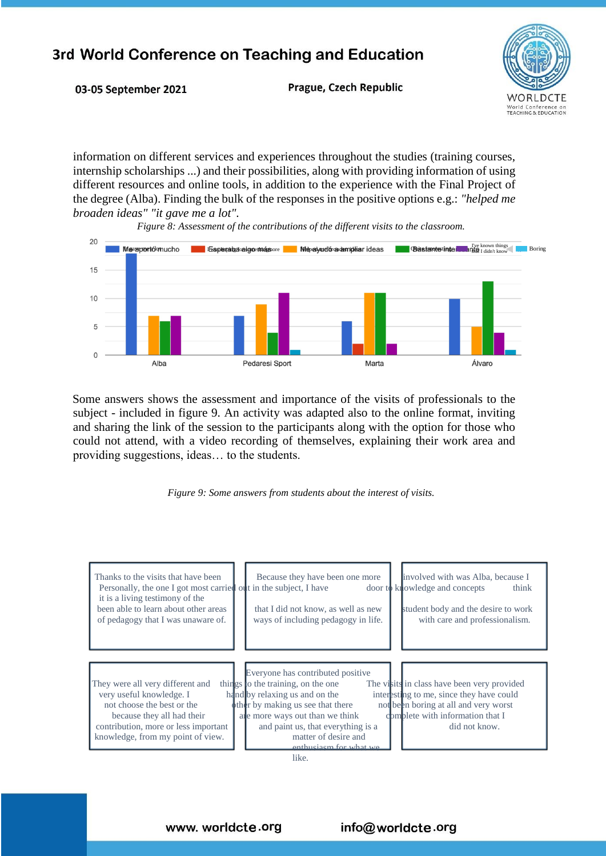

03-05 September 2021

Prague, Czech Republic

information on different services and experiences throughout the studies (training courses, internship scholarships ...) and their possibilities, along with providing information of using different resources and online tools, in addition to the experience with the Final Project of the degree (Alba). Finding the bulk of the responses in the positive options e.g.: *"helped me broaden ideas" "it gave me a lot".*

*Figure 8: Assessment of the contributions of the different visits to the classroom.*



Some answers shows the assessment and importance of the visits of professionals to the subject - included in figure 9. An activity was adapted also to the online format, inviting and sharing the link of the session to the participants along with the option for those who could not attend, with a video recording of themselves, explaining their work area and providing suggestions, ideas… to the students.



| Thanks to the visits that have been<br>Personally, the one I got most carried out in the subject, I have<br>it is a living testimony of the<br>been able to learn about other areas<br>of pedagogy that I was unaware of. | involved with was Alba, because I<br>Because they have been one more<br>door to knowledge and concepts<br>think<br>student body and the desire to work<br>that I did not know, as well as new<br>ways of including pedagogy in life.<br>with care and professionalism.                                                                                                                                                                                             |
|---------------------------------------------------------------------------------------------------------------------------------------------------------------------------------------------------------------------------|--------------------------------------------------------------------------------------------------------------------------------------------------------------------------------------------------------------------------------------------------------------------------------------------------------------------------------------------------------------------------------------------------------------------------------------------------------------------|
| They were all very different and<br>very useful knowledge. I<br>not choose the best or the<br>because they all had their<br>contribution, more or less important<br>knowledge, from my point of view.                     | Everyone has contributed positive<br>things to the training, on the one<br>The visits in class have been very provided<br>hand by relaxing us and on the<br>interesting to me, since they have could<br>other by making us see that there<br>not been boring at all and very worst<br>domblete with information that I<br>are more ways out than we think<br>did not know.<br>and paint us, that everything is a<br>matter of desire and<br>enthusiasm for what we |

like.

www. worldcte.org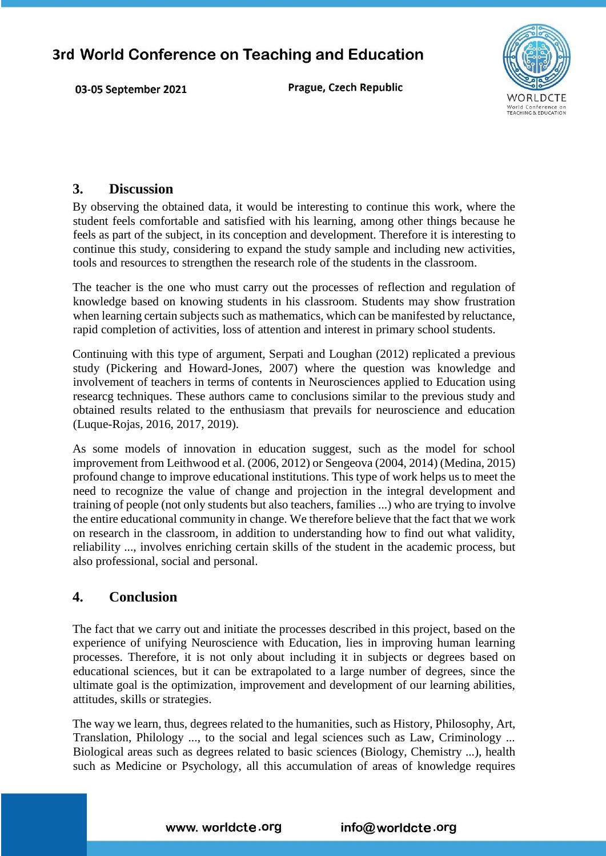03-05 September 2021

Prague, Czech Republic



### **3. Discussion**

By observing the obtained data, it would be interesting to continue this work, where the student feels comfortable and satisfied with his learning, among other things because he feels as part of the subject, in its conception and development. Therefore it is interesting to continue this study, considering to expand the study sample and including new activities, tools and resources to strengthen the research role of the students in the classroom.

The teacher is the one who must carry out the processes of reflection and regulation of knowledge based on knowing students in his classroom. Students may show frustration when learning certain subjects such as mathematics, which can be manifested by reluctance, rapid completion of activities, loss of attention and interest in primary school students.

Continuing with this type of argument, Serpati and Loughan (2012) replicated a previous study (Pickering and Howard-Jones, 2007) where the question was knowledge and involvement of teachers in terms of contents in Neurosciences applied to Education using researcg techniques. These authors came to conclusions similar to the previous study and obtained results related to the enthusiasm that prevails for neuroscience and education (Luque-Rojas, 2016, 2017, 2019).

As some models of innovation in education suggest, such as the model for school improvement from Leithwood et al. (2006, 2012) or Sengeova (2004, 2014) (Medina, 2015) profound change to improve educational institutions. This type of work helps us to meet the need to recognize the value of change and projection in the integral development and training of people (not only students but also teachers, families ...) who are trying to involve the entire educational community in change. We therefore believe that the fact that we work on research in the classroom, in addition to understanding how to find out what validity, reliability ..., involves enriching certain skills of the student in the academic process, but also professional, social and personal.

## **4. Conclusion**

The fact that we carry out and initiate the processes described in this project, based on the experience of unifying Neuroscience with Education, lies in improving human learning processes. Therefore, it is not only about including it in subjects or degrees based on educational sciences, but it can be extrapolated to a large number of degrees, since the ultimate goal is the optimization, improvement and development of our learning abilities, attitudes, skills or strategies.

The way we learn, thus, degrees related to the humanities, such as History, Philosophy, Art, Translation, Philology ..., to the social and legal sciences such as Law, Criminology ... Biological areas such as degrees related to basic sciences (Biology, Chemistry ...), health such as Medicine or Psychology, all this accumulation of areas of knowledge requires